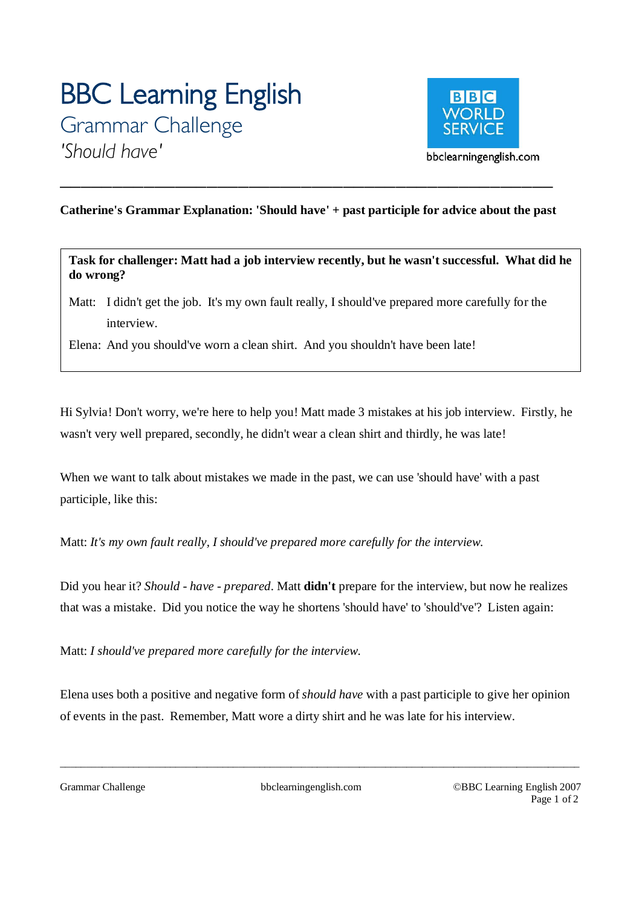# **BBC Learning English**  Grammar Challenge *'Should have'*



## **Catherine's Grammar Explanation: 'Should have' + past participle for advice about the past**

*\_\_\_\_\_\_\_\_\_\_\_\_\_\_\_\_\_\_\_\_\_\_\_\_\_\_\_\_\_\_\_\_\_\_\_\_\_\_\_\_\_\_\_\_\_\_\_* 

**Task for challenger: Matt had a job interview recently, but he wasn't successful. What did he do wrong?** 

Matt: I didn't get the job. It's my own fault really, I should've prepared more carefully for the interview.

Elena: And you should've worn a clean shirt. And you shouldn't have been late!

Hi Sylvia! Don't worry, we're here to help you! Matt made 3 mistakes at his job interview. Firstly, he wasn't very well prepared, secondly, he didn't wear a clean shirt and thirdly, he was late!

When we want to talk about mistakes we made in the past, we can use 'should have' with a past participle, like this:

Matt: *It's my own fault really, I should've prepared more carefully for the interview*.

Did you hear it? *Should - have - prepared*. Matt **didn't** prepare for the interview, but now he realizes that was a mistake. Did you notice the way he shortens 'should have' to 'should've'? Listen again:

Matt: *I should've prepared more carefully for the interview*.

Elena uses both a positive and negative form of *should have* with a past participle to give her opinion of events in the past. Remember, Matt wore a dirty shirt and he was late for his interview.

 $\overline{\phantom{a}}$  , and the contribution of the contribution of the contribution of the contribution of the contribution of the contribution of the contribution of the contribution of the contribution of the contribution of the